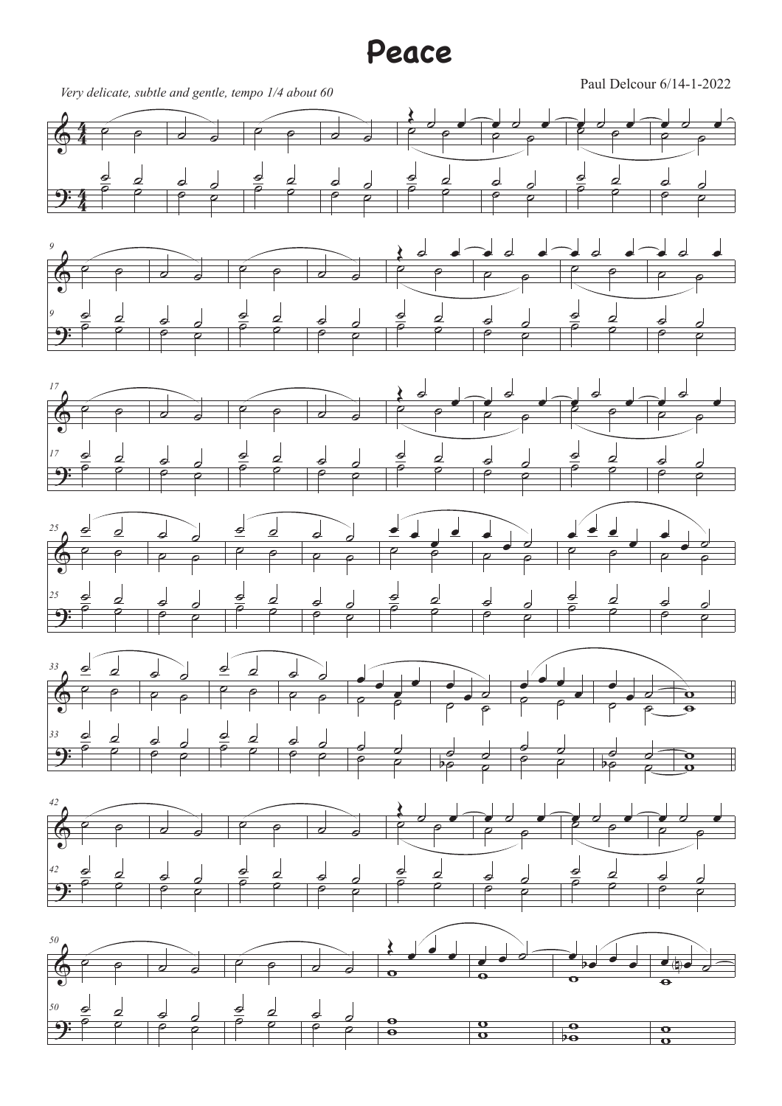## **Peace**